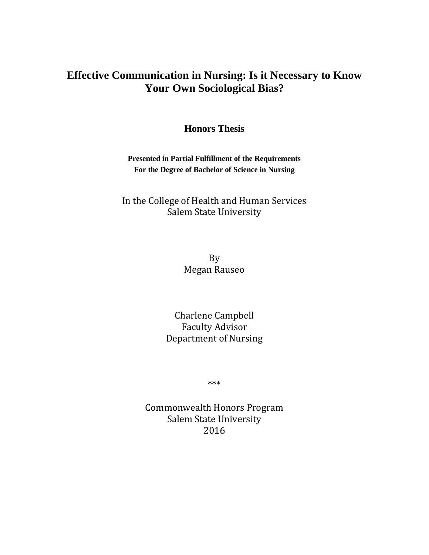# **Effective Communication in Nursing: Is it Necessary to Know Your Own Sociological Bias?**

**Honors Thesis**

**Presented in Partial Fulfillment of the Requirements For the Degree of Bachelor of Science in Nursing**

# In the College of Health and Human Services Salem State University

By Megan Rauseo

Charlene Campbell Faculty Advisor Department of Nursing

\*\*\*

Commonwealth Honors Program Salem State University 2016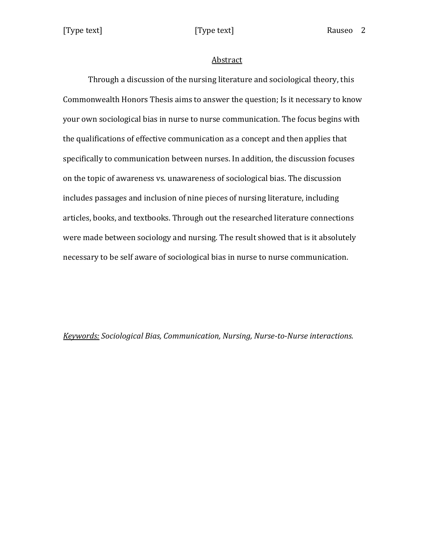[Type text] [Type text] Rauseo 2

### Abstract

Through a discussion of the nursing literature and sociological theory, this Commonwealth Honors Thesis aims to answer the question; Is it necessary to know your own sociological bias in nurse to nurse communication. The focus begins with the qualifications of effective communication as a concept and then applies that specifically to communication between nurses. In addition, the discussion focuses on the topic of awareness vs. unawareness of sociological bias. The discussion includes passages and inclusion of nine pieces of nursing literature, including articles, books, and textbooks. Through out the researched literature connections were made between sociology and nursing. The result showed that is it absolutely necessary to be self aware of sociological bias in nurse to nurse communication.

*Keywords: Sociological Bias, Communication, Nursing, Nurse-to-Nurse interactions.*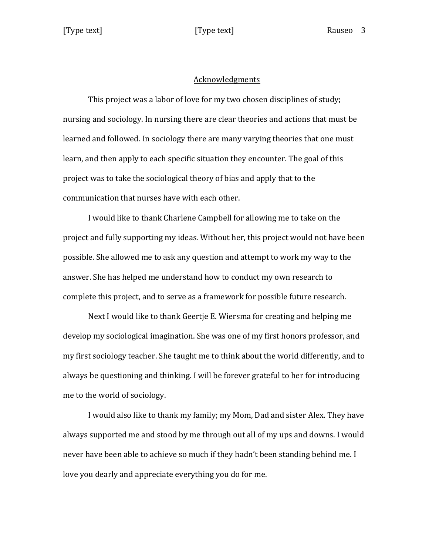### Acknowledgments

This project was a labor of love for my two chosen disciplines of study; nursing and sociology. In nursing there are clear theories and actions that must be learned and followed. In sociology there are many varying theories that one must learn, and then apply to each specific situation they encounter. The goal of this project was to take the sociological theory of bias and apply that to the communication that nurses have with each other.

I would like to thank Charlene Campbell for allowing me to take on the project and fully supporting my ideas. Without her, this project would not have been possible. She allowed me to ask any question and attempt to work my way to the answer. She has helped me understand how to conduct my own research to complete this project, and to serve as a framework for possible future research.

Next I would like to thank Geertje E. Wiersma for creating and helping me develop my sociological imagination. She was one of my first honors professor, and my first sociology teacher. She taught me to think about the world differently, and to always be questioning and thinking. I will be forever grateful to her for introducing me to the world of sociology.

I would also like to thank my family; my Mom, Dad and sister Alex. They have always supported me and stood by me through out all of my ups and downs. I would never have been able to achieve so much if they hadn't been standing behind me. I love you dearly and appreciate everything you do for me.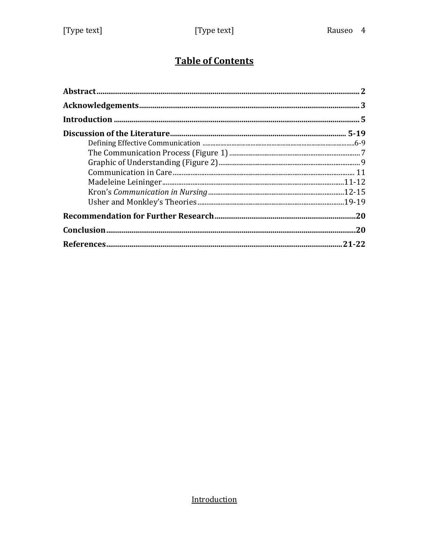# **Table of Contents**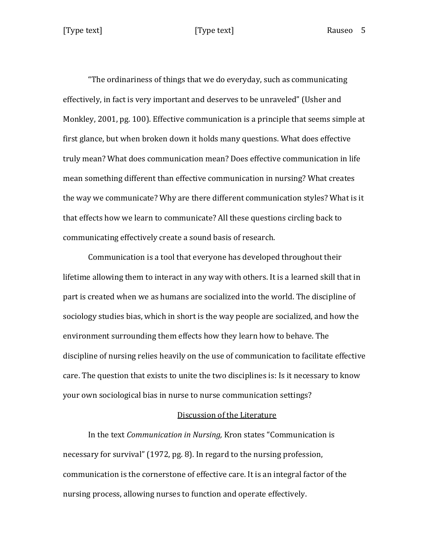"The ordinariness of things that we do everyday, such as communicating effectively, in fact is very important and deserves to be unraveled" (Usher and Monkley, 2001, pg. 100). Effective communication is a principle that seems simple at first glance, but when broken down it holds many questions. What does effective truly mean? What does communication mean? Does effective communication in life mean something different than effective communication in nursing? What creates the way we communicate? Why are there different communication styles? What is it that effects how we learn to communicate? All these questions circling back to communicating effectively create a sound basis of research.

Communication is a tool that everyone has developed throughout their lifetime allowing them to interact in any way with others. It is a learned skill that in part is created when we as humans are socialized into the world. The discipline of sociology studies bias, which in short is the way people are socialized, and how the environment surrounding them effects how they learn how to behave. The discipline of nursing relies heavily on the use of communication to facilitate effective care. The question that exists to unite the two disciplines is: Is it necessary to know your own sociological bias in nurse to nurse communication settings?

# Discussion of the Literature

In the text *Communication in Nursing,* Kron states "Communication is necessary for survival" (1972, pg. 8). In regard to the nursing profession, communication is the cornerstone of effective care. It is an integral factor of the nursing process, allowing nurses to function and operate effectively.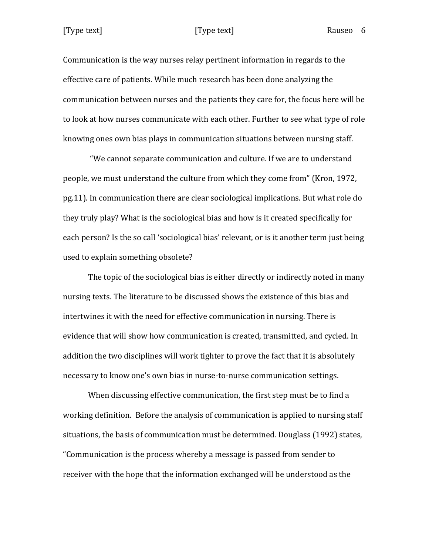Communication is the way nurses relay pertinent information in regards to the effective care of patients. While much research has been done analyzing the communication between nurses and the patients they care for, the focus here will be to look at how nurses communicate with each other. Further to see what type of role knowing ones own bias plays in communication situations between nursing staff.

"We cannot separate communication and culture. If we are to understand people, we must understand the culture from which they come from" (Kron, 1972, pg.11). In communication there are clear sociological implications. But what role do they truly play? What is the sociological bias and how is it created specifically for each person? Is the so call 'sociological bias' relevant, or is it another term just being used to explain something obsolete?

The topic of the sociological bias is either directly or indirectly noted in many nursing texts. The literature to be discussed shows the existence of this bias and intertwines it with the need for effective communication in nursing. There is evidence that will show how communication is created, transmitted, and cycled. In addition the two disciplines will work tighter to prove the fact that it is absolutely necessary to know one's own bias in nurse-to-nurse communication settings.

When discussing effective communication, the first step must be to find a working definition. Before the analysis of communication is applied to nursing staff situations, the basis of communication must be determined. Douglass (1992) states, "Communication is the process whereby a message is passed from sender to receiver with the hope that the information exchanged will be understood as the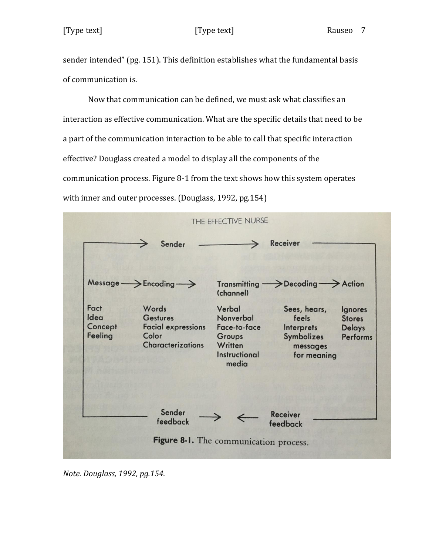# [Type text] [Type text] Rauseo 7

sender intended" (pg. 151). This definition establishes what the fundamental basis of communication is.

Now that communication can be defined, we must ask what classifies an interaction as effective communication. What are the specific details that need to be a part of the communication interaction to be able to call that specific interaction effective? Douglass created a model to display all the components of the communication process. Figure 8-1 from the text shows how this system operates with inner and outer processes. (Douglass, 1992, pg.154)

|                                    | Sender                                                                                     |                                                                                           | <b>Receiver</b>                                                              |                                                              |
|------------------------------------|--------------------------------------------------------------------------------------------|-------------------------------------------------------------------------------------------|------------------------------------------------------------------------------|--------------------------------------------------------------|
|                                    | $Message \longrightarrow$ Encoding $\longrightarrow$                                       | (channel)                                                                                 | Transmitting  > Decoding  > Action                                           |                                                              |
| Fact<br>Idea<br>Concept<br>Feeling | Words<br><b>Gestures</b><br><b>Facial expressions</b><br>Color<br><b>Characterizations</b> | Verbal<br>Nonverbal<br>Face-to-face<br>Groups<br>Written<br><b>Instructional</b><br>media | Sees, hears,<br>feels<br>Interprets<br>Symbolizes<br>messages<br>for meaning | Ignores<br><b>Stores</b><br><b>Delays</b><br><b>Performs</b> |
|                                    | Sender<br>feedback                                                                         |                                                                                           | <b>Receiver</b><br>feedback                                                  |                                                              |

*Note. Douglass, 1992, pg.154.*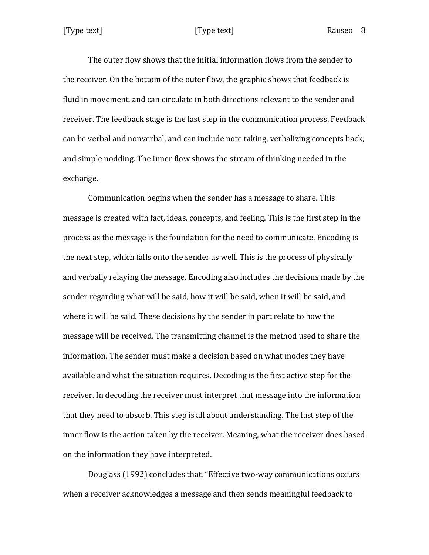The outer flow shows that the initial information flows from the sender to the receiver. On the bottom of the outer flow, the graphic shows that feedback is fluid in movement, and can circulate in both directions relevant to the sender and receiver. The feedback stage is the last step in the communication process. Feedback can be verbal and nonverbal, and can include note taking, verbalizing concepts back, and simple nodding. The inner flow shows the stream of thinking needed in the exchange.

Communication begins when the sender has a message to share. This message is created with fact, ideas, concepts, and feeling. This is the first step in the process as the message is the foundation for the need to communicate. Encoding is the next step, which falls onto the sender as well. This is the process of physically and verbally relaying the message. Encoding also includes the decisions made by the sender regarding what will be said, how it will be said, when it will be said, and where it will be said. These decisions by the sender in part relate to how the message will be received. The transmitting channel is the method used to share the information. The sender must make a decision based on what modes they have available and what the situation requires. Decoding is the first active step for the receiver. In decoding the receiver must interpret that message into the information that they need to absorb. This step is all about understanding. The last step of the inner flow is the action taken by the receiver. Meaning, what the receiver does based on the information they have interpreted.

Douglass (1992) concludes that, "Effective two-way communications occurs when a receiver acknowledges a message and then sends meaningful feedback to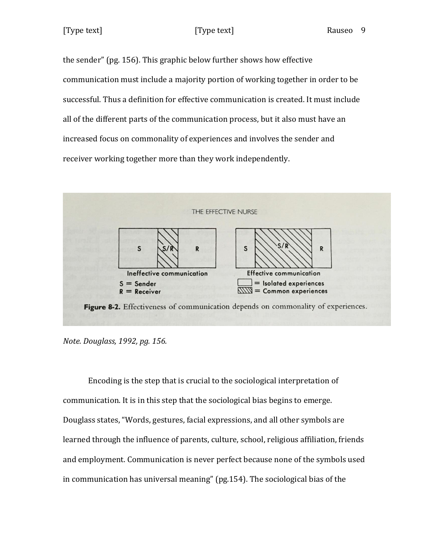the sender" (pg. 156). This graphic below further shows how effective communication must include a majority portion of working together in order to be successful. Thus a definition for effective communication is created. It must include all of the different parts of the communication process, but it also must have an increased focus on commonality of experiences and involves the sender and receiver working together more than they work independently.



*Note. Douglass, 1992, pg. 156.*

Encoding is the step that is crucial to the sociological interpretation of communication. It is in this step that the sociological bias begins to emerge. Douglass states, "Words, gestures, facial expressions, and all other symbols are learned through the influence of parents, culture, school, religious affiliation, friends and employment. Communication is never perfect because none of the symbols used in communication has universal meaning" (pg.154). The sociological bias of the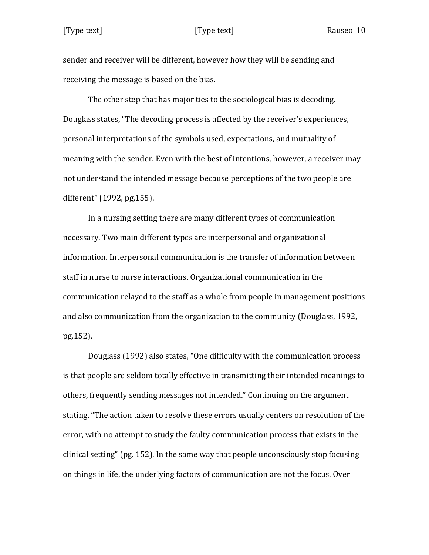sender and receiver will be different, however how they will be sending and receiving the message is based on the bias.

The other step that has major ties to the sociological bias is decoding. Douglass states, "The decoding process is affected by the receiver's experiences, personal interpretations of the symbols used, expectations, and mutuality of meaning with the sender. Even with the best of intentions, however, a receiver may not understand the intended message because perceptions of the two people are different" (1992, pg.155).

In a nursing setting there are many different types of communication necessary. Two main different types are interpersonal and organizational information. Interpersonal communication is the transfer of information between staff in nurse to nurse interactions. Organizational communication in the communication relayed to the staff as a whole from people in management positions and also communication from the organization to the community (Douglass, 1992, pg.152).

Douglass (1992) also states, "One difficulty with the communication process is that people are seldom totally effective in transmitting their intended meanings to others, frequently sending messages not intended." Continuing on the argument stating, "The action taken to resolve these errors usually centers on resolution of the error, with no attempt to study the faulty communication process that exists in the clinical setting" (pg. 152). In the same way that people unconsciously stop focusing on things in life, the underlying factors of communication are not the focus. Over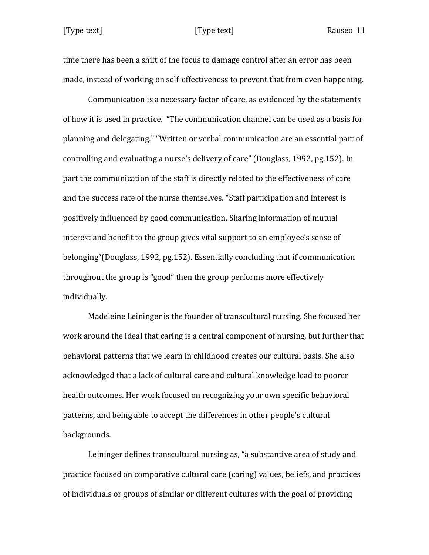time there has been a shift of the focus to damage control after an error has been made, instead of working on self-effectiveness to prevent that from even happening.

Communication is a necessary factor of care, as evidenced by the statements of how it is used in practice. "The communication channel can be used as a basis for planning and delegating." "Written or verbal communication are an essential part of controlling and evaluating a nurse's delivery of care" (Douglass, 1992, pg.152). In part the communication of the staff is directly related to the effectiveness of care and the success rate of the nurse themselves. "Staff participation and interest is positively influenced by good communication. Sharing information of mutual interest and benefit to the group gives vital support to an employee's sense of belonging"(Douglass, 1992, pg.152). Essentially concluding that if communication throughout the group is "good" then the group performs more effectively individually.

Madeleine Leininger is the founder of transcultural nursing. She focused her work around the ideal that caring is a central component of nursing, but further that behavioral patterns that we learn in childhood creates our cultural basis. She also acknowledged that a lack of cultural care and cultural knowledge lead to poorer health outcomes. Her work focused on recognizing your own specific behavioral patterns, and being able to accept the differences in other people's cultural backgrounds.

Leininger defines transcultural nursing as, "a substantive area of study and practice focused on comparative cultural care (caring) values, beliefs, and practices of individuals or groups of similar or different cultures with the goal of providing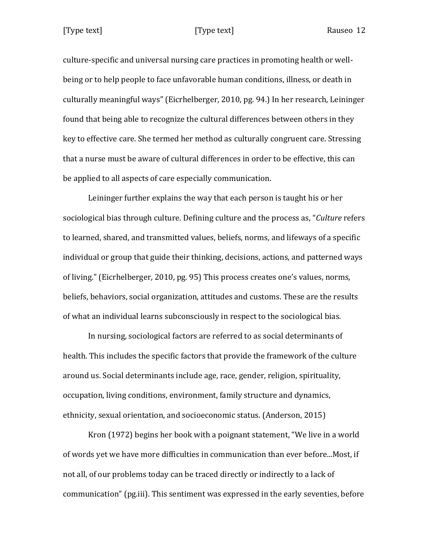culture-specific and universal nursing care practices in promoting health or wellbeing or to help people to face unfavorable human conditions, illness, or death in culturally meaningful ways" (Eicrhelberger, 2010, pg. 94.) In her research, Leininger found that being able to recognize the cultural differences between others in they key to effective care. She termed her method as culturally congruent care. Stressing that a nurse must be aware of cultural differences in order to be effective, this can be applied to all aspects of care especially communication.

Leininger further explains the way that each person is taught his or her sociological bias through culture. Defining culture and the process as, "*Culture* refers to learned, shared, and transmitted values, beliefs, norms, and lifeways of a specific individual or group that guide their thinking, decisions, actions, and patterned ways of living." (Eicrhelberger, 2010, pg. 95) This process creates one's values, norms, beliefs, behaviors, social organization, attitudes and customs. These are the results of what an individual learns subconsciously in respect to the sociological bias.

In nursing, sociological factors are referred to as social determinants of health. This includes the specific factors that provide the framework of the culture around us. Social determinants include age, race, gender, religion, spirituality, occupation, living conditions, environment, family structure and dynamics, ethnicity, sexual orientation, and socioeconomic status. (Anderson, 2015)

Kron (1972) begins her book with a poignant statement, "We live in a world of words yet we have more difficulties in communication than ever before...Most, if not all, of our problems today can be traced directly or indirectly to a lack of communication" (pg.iii). This sentiment was expressed in the early seventies, before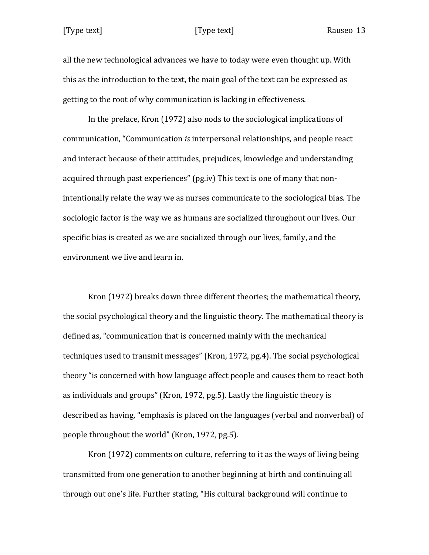# [Type text] [Type text] Rauseo 13

all the new technological advances we have to today were even thought up. With this as the introduction to the text, the main goal of the text can be expressed as getting to the root of why communication is lacking in effectiveness.

In the preface, Kron (1972) also nods to the sociological implications of communication, "Communication *is* interpersonal relationships, and people react and interact because of their attitudes, prejudices, knowledge and understanding acquired through past experiences" (pg.iv) This text is one of many that nonintentionally relate the way we as nurses communicate to the sociological bias. The sociologic factor is the way we as humans are socialized throughout our lives. Our specific bias is created as we are socialized through our lives, family, and the environment we live and learn in.

Kron (1972) breaks down three different theories; the mathematical theory, the social psychological theory and the linguistic theory. The mathematical theory is defined as, "communication that is concerned mainly with the mechanical techniques used to transmit messages" (Kron, 1972, pg.4). The social psychological theory "is concerned with how language affect people and causes them to react both as individuals and groups" (Kron, 1972, pg.5). Lastly the linguistic theory is described as having, "emphasis is placed on the languages (verbal and nonverbal) of people throughout the world" (Kron, 1972, pg.5).

Kron (1972) comments on culture, referring to it as the ways of living being transmitted from one generation to another beginning at birth and continuing all through out one's life. Further stating, "His cultural background will continue to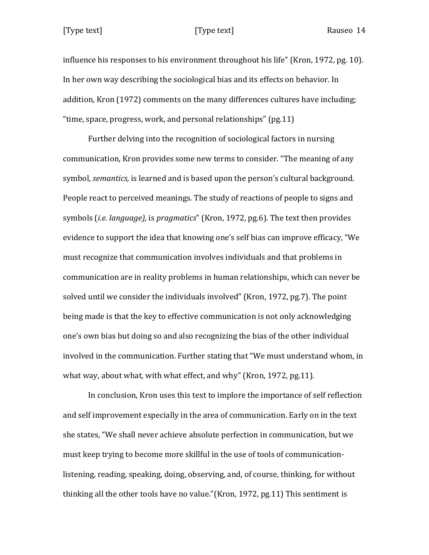influence his responses to his environment throughout his life" (Kron, 1972, pg. 10). In her own way describing the sociological bias and its effects on behavior. In addition, Kron (1972) comments on the many differences cultures have including; "time, space, progress, work, and personal relationships" (pg.11)

Further delving into the recognition of sociological factors in nursing communication, Kron provides some new terms to consider. "The meaning of any symbol, *semantics,* is learned and is based upon the person's cultural background. People react to perceived meanings. The study of reactions of people to signs and symbols (*i.e. language),* is *pragmatics*" (Kron, 1972, pg.6). The text then provides evidence to support the idea that knowing one's self bias can improve efficacy, "We must recognize that communication involves individuals and that problems in communication are in reality problems in human relationships, which can never be solved until we consider the individuals involved" (Kron, 1972, pg.7). The point being made is that the key to effective communication is not only acknowledging one's own bias but doing so and also recognizing the bias of the other individual involved in the communication. Further stating that "We must understand whom, in what way, about what, with what effect, and why" (Kron, 1972, pg.11).

In conclusion, Kron uses this text to implore the importance of self reflection and self improvement especially in the area of communication. Early on in the text she states, "We shall never achieve absolute perfection in communication, but we must keep trying to become more skillful in the use of tools of communicationlistening, reading, speaking, doing, observing, and, of course, thinking, for without thinking all the other tools have no value."(Kron, 1972, pg.11) This sentiment is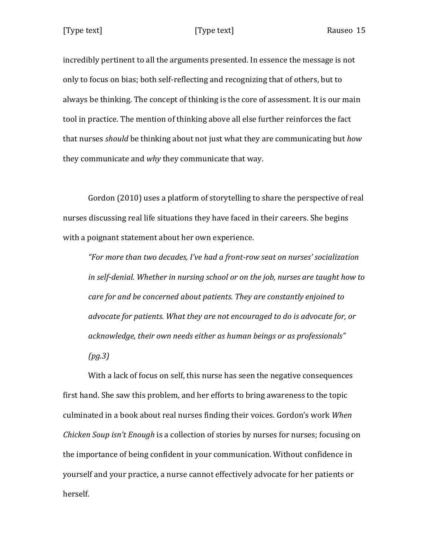incredibly pertinent to all the arguments presented. In essence the message is not only to focus on bias; both self-reflecting and recognizing that of others, but to always be thinking. The concept of thinking is the core of assessment. It is our main tool in practice. The mention of thinking above all else further reinforces the fact that nurses *should* be thinking about not just what they are communicating but *how* they communicate and *why* they communicate that way.

Gordon (2010) uses a platform of storytelling to share the perspective of real nurses discussing real life situations they have faced in their careers. She begins with a poignant statement about her own experience.

*"For more than two decades, I've had a front-row seat on nurses' socialization in self-denial. Whether in nursing school or on the job, nurses are taught how to care for and be concerned about patients. They are constantly enjoined to advocate for patients. What they are not encouraged to do is advocate for, or acknowledge, their own needs either as human beings or as professionals" (pg.3)*

With a lack of focus on self, this nurse has seen the negative consequences first hand. She saw this problem, and her efforts to bring awareness to the topic culminated in a book about real nurses finding their voices. Gordon's work *When Chicken Soup isn't Enough* is a collection of stories by nurses for nurses; focusing on the importance of being confident in your communication. Without confidence in yourself and your practice, a nurse cannot effectively advocate for her patients or herself.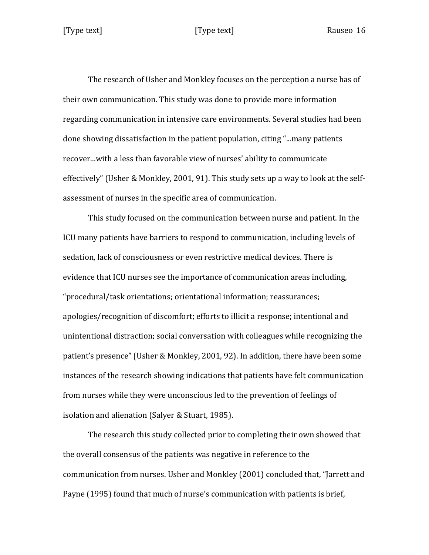The research of Usher and Monkley focuses on the perception a nurse has of their own communication. This study was done to provide more information regarding communication in intensive care environments. Several studies had been done showing dissatisfaction in the patient population, citing "...many patients recover...with a less than favorable view of nurses' ability to communicate effectively" (Usher & Monkley, 2001, 91). This study sets up a way to look at the selfassessment of nurses in the specific area of communication.

This study focused on the communication between nurse and patient. In the ICU many patients have barriers to respond to communication, including levels of sedation, lack of consciousness or even restrictive medical devices. There is evidence that ICU nurses see the importance of communication areas including, "procedural/task orientations; orientational information; reassurances; apologies/recognition of discomfort; efforts to illicit a response; intentional and unintentional distraction; social conversation with colleagues while recognizing the patient's presence" (Usher & Monkley, 2001, 92). In addition, there have been some instances of the research showing indications that patients have felt communication from nurses while they were unconscious led to the prevention of feelings of isolation and alienation (Salyer & Stuart, 1985).

The research this study collected prior to completing their own showed that the overall consensus of the patients was negative in reference to the communication from nurses. Usher and Monkley (2001) concluded that, "Jarrett and Payne (1995) found that much of nurse's communication with patients is brief,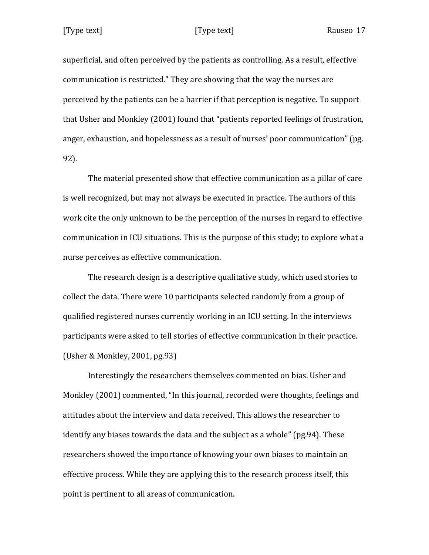superficial, and often perceived by the patients as controlling. As a result, effective communication is restricted." They are showing that the way the nurses are perceived by the patients can be a barrier if that perception is negative. To support that Usher and Monkley (2001) found that "patients reported feelings of frustration, anger, exhaustion, and hopelessness as a result of nurses' poor communication" (pg. 92).

The material presented show that effective communication as a pillar of care is well recognized, but may not always be executed in practice. The authors of this work cite the only unknown to be the perception of the nurses in regard to effective communication in ICU situations. This is the purpose of this study; to explore what a nurse perceives as effective communication.

The research design is a descriptive qualitative study, which used stories to collect the data. There were 10 participants selected randomly from a group of qualified registered nurses currently working in an ICU setting. In the interviews participants were asked to tell stories of effective communication in their practice. (Usher & Monkley, 2001, pg.93)

Interestingly the researchers themselves commented on bias. Usher and Monkley (2001) commented, "In this journal, recorded were thoughts, feelings and attitudes about the interview and data received. This allows the researcher to identify any biases towards the data and the subject as a whole" (pg.94). These researchers showed the importance of knowing your own biases to maintain an effective process. While they are applying this to the research process itself, this point is pertinent to all areas of communication.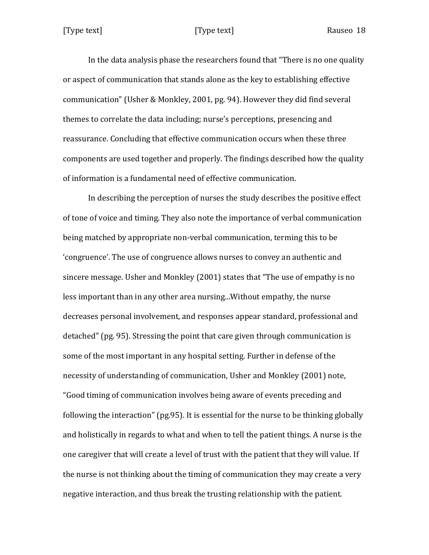In the data analysis phase the researchers found that "There is no one quality or aspect of communication that stands alone as the key to establishing effective communication" (Usher & Monkley, 2001, pg. 94). However they did find several themes to correlate the data including; nurse's perceptions, presencing and reassurance. Concluding that effective communication occurs when these three components are used together and properly. The findings described how the quality of information is a fundamental need of effective communication.

In describing the perception of nurses the study describes the positive effect of tone of voice and timing. They also note the importance of verbal communication being matched by appropriate non-verbal communication, terming this to be 'congruence'. The use of congruence allows nurses to convey an authentic and sincere message. Usher and Monkley (2001) states that "The use of empathy is no less important than in any other area nursing...Without empathy, the nurse decreases personal involvement, and responses appear standard, professional and detached" (pg. 95). Stressing the point that care given through communication is some of the most important in any hospital setting. Further in defense of the necessity of understanding of communication, Usher and Monkley (2001) note, "Good timing of communication involves being aware of events preceding and following the interaction" (pg.95). It is essential for the nurse to be thinking globally and holistically in regards to what and when to tell the patient things. A nurse is the one caregiver that will create a level of trust with the patient that they will value. If the nurse is not thinking about the timing of communication they may create a very negative interaction, and thus break the trusting relationship with the patient.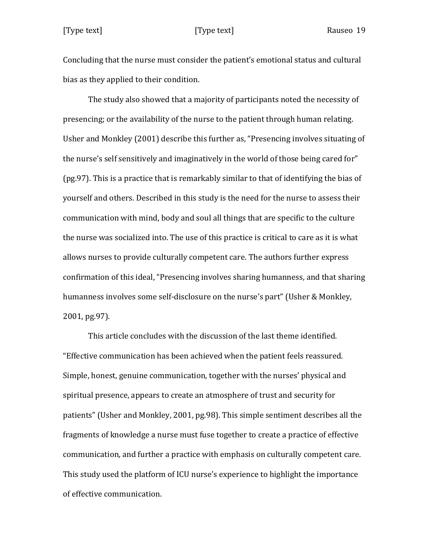Concluding that the nurse must consider the patient's emotional status and cultural bias as they applied to their condition.

The study also showed that a majority of participants noted the necessity of presencing; or the availability of the nurse to the patient through human relating. Usher and Monkley (2001) describe this further as, "Presencing involves situating of the nurse's self sensitively and imaginatively in the world of those being cared for" (pg.97). This is a practice that is remarkably similar to that of identifying the bias of yourself and others. Described in this study is the need for the nurse to assess their communication with mind, body and soul all things that are specific to the culture the nurse was socialized into. The use of this practice is critical to care as it is what allows nurses to provide culturally competent care. The authors further express confirmation of this ideal, "Presencing involves sharing humanness, and that sharing humanness involves some self-disclosure on the nurse's part" (Usher & Monkley, 2001, pg.97).

This article concludes with the discussion of the last theme identified. "Effective communication has been achieved when the patient feels reassured. Simple, honest, genuine communication, together with the nurses' physical and spiritual presence, appears to create an atmosphere of trust and security for patients" (Usher and Monkley, 2001, pg.98). This simple sentiment describes all the fragments of knowledge a nurse must fuse together to create a practice of effective communication, and further a practice with emphasis on culturally competent care. This study used the platform of ICU nurse's experience to highlight the importance of effective communication.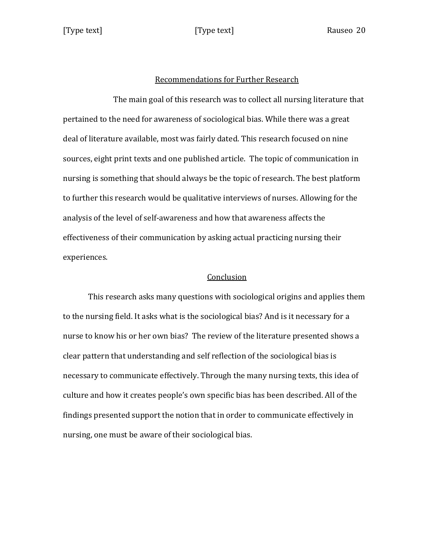### Recommendations for Further Research

The main goal of this research was to collect all nursing literature that pertained to the need for awareness of sociological bias. While there was a great deal of literature available, most was fairly dated. This research focused on nine sources, eight print texts and one published article. The topic of communication in nursing is something that should always be the topic of research. The best platform to further this research would be qualitative interviews of nurses. Allowing for the analysis of the level of self-awareness and how that awareness affects the effectiveness of their communication by asking actual practicing nursing their experiences.

### Conclusion

This research asks many questions with sociological origins and applies them to the nursing field. It asks what is the sociological bias? And is it necessary for a nurse to know his or her own bias? The review of the literature presented shows a clear pattern that understanding and self reflection of the sociological bias is necessary to communicate effectively. Through the many nursing texts, this idea of culture and how it creates people's own specific bias has been described. All of the findings presented support the notion that in order to communicate effectively in nursing, one must be aware of their sociological bias.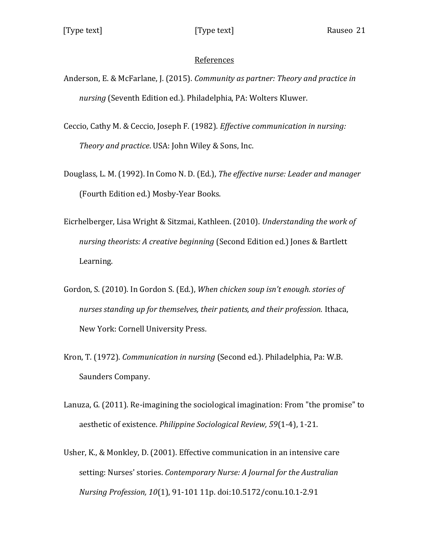# References

- Anderson, E. & McFarlane, J. (2015). *Community as partner: Theory and practice in nursing* (Seventh Edition ed.). Philadelphia, PA: Wolters Kluwer.
- Ceccio, Cathy M. & Ceccio, Joseph F. (1982). *Effective communication in nursing: Theory and practice*. USA: John Wiley & Sons, Inc.
- Douglass, L. M. (1992). In Como N. D. (Ed.), *The effective nurse: Leader and manager* (Fourth Edition ed.) Mosby-Year Books.
- Eicrhelberger, Lisa Wright & Sitzmai, Kathleen. (2010). *Understanding the work of nursing theorists: A creative beginning* (Second Edition ed.) Jones & Bartlett Learning.
- Gordon, S. (2010). In Gordon S. (Ed.), *When chicken soup isn't enough. stories of nurses standing up for themselves, their patients, and their profession.* Ithaca, New York: Cornell University Press.
- Kron, T. (1972). *Communication in nursing* (Second ed.). Philadelphia, Pa: W.B. Saunders Company.
- Lanuza, G. (2011). Re-imagining the sociological imagination: From "the promise" to aesthetic of existence. *Philippine Sociological Review, 59*(1-4), 1-21.
- Usher, K., & Monkley, D. (2001). Effective communication in an intensive care setting: Nurses' stories. *Contemporary Nurse: A Journal for the Australian Nursing Profession, 10*(1), 91-101 11p. doi:10.5172/conu.10.1-2.91